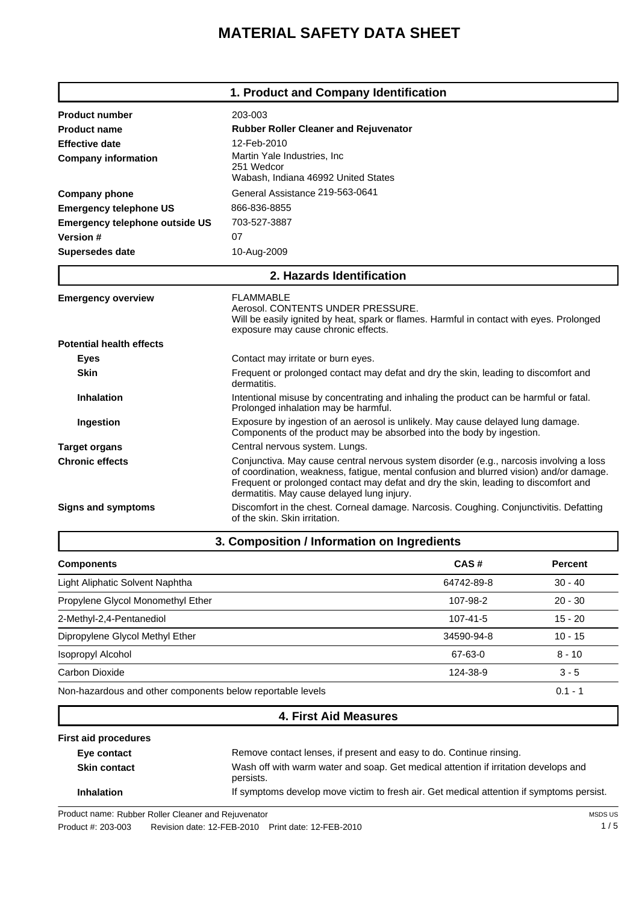# **MATERIAL SAFETY DATA SHEET**

|                                       | 1. Product and Company Identification                                                                                                                                                                                                                                                                                   |  |
|---------------------------------------|-------------------------------------------------------------------------------------------------------------------------------------------------------------------------------------------------------------------------------------------------------------------------------------------------------------------------|--|
| <b>Product number</b>                 | 203-003                                                                                                                                                                                                                                                                                                                 |  |
| <b>Product name</b>                   | <b>Rubber Roller Cleaner and Rejuvenator</b>                                                                                                                                                                                                                                                                            |  |
| <b>Effective date</b>                 | 12-Feb-2010                                                                                                                                                                                                                                                                                                             |  |
| <b>Company information</b>            | Martin Yale Industries, Inc.<br>251 Wedcor<br>Wabash, Indiana 46992 United States                                                                                                                                                                                                                                       |  |
| <b>Company phone</b>                  | General Assistance 219-563-0641                                                                                                                                                                                                                                                                                         |  |
| <b>Emergency telephone US</b>         | 866-836-8855                                                                                                                                                                                                                                                                                                            |  |
| <b>Emergency telephone outside US</b> | 703-527-3887                                                                                                                                                                                                                                                                                                            |  |
| Version #                             | 07                                                                                                                                                                                                                                                                                                                      |  |
| <b>Supersedes date</b>                | 10-Aug-2009                                                                                                                                                                                                                                                                                                             |  |
|                                       | 2. Hazards Identification                                                                                                                                                                                                                                                                                               |  |
| <b>Emergency overview</b>             | FLAMMABLE<br>Aerosol, CONTENTS UNDER PRESSURE.<br>Will be easily ignited by heat, spark or flames. Harmful in contact with eyes. Prolonged<br>exposure may cause chronic effects.                                                                                                                                       |  |
| <b>Potential health effects</b>       |                                                                                                                                                                                                                                                                                                                         |  |
| <b>Eyes</b>                           | Contact may irritate or burn eyes.                                                                                                                                                                                                                                                                                      |  |
| <b>Skin</b>                           | Frequent or prolonged contact may defat and dry the skin, leading to discomfort and<br>dermatitis.                                                                                                                                                                                                                      |  |
| Inhalation                            | Intentional misuse by concentrating and inhaling the product can be harmful or fatal.<br>Prolonged inhalation may be harmful.                                                                                                                                                                                           |  |
| Ingestion                             | Exposure by ingestion of an aerosol is unlikely. May cause delayed lung damage.<br>Components of the product may be absorbed into the body by ingestion.                                                                                                                                                                |  |
| <b>Target organs</b>                  | Central nervous system. Lungs.                                                                                                                                                                                                                                                                                          |  |
| <b>Chronic effects</b>                | Conjunctiva. May cause central nervous system disorder (e.g., narcosis involving a loss<br>of coordination, weakness, fatigue, mental confusion and blurred vision) and/or damage.<br>Frequent or prolonged contact may defat and dry the skin, leading to discomfort and<br>dermatitis. May cause delayed lung injury. |  |
| <b>Signs and symptoms</b>             | Discomfort in the chest. Corneal damage. Narcosis. Coughing. Conjunctivitis. Defatting<br>of the skin. Skin irritation.                                                                                                                                                                                                 |  |

|                                                            | -          |                |
|------------------------------------------------------------|------------|----------------|
| <b>Components</b>                                          | CAS#       | <b>Percent</b> |
| Light Aliphatic Solvent Naphtha                            | 64742-89-8 | $30 - 40$      |
| Propylene Glycol Monomethyl Ether                          | 107-98-2   | $20 - 30$      |
| 2-Methyl-2,4-Pentanediol                                   | 107-41-5   | $15 - 20$      |
| Dipropylene Glycol Methyl Ether                            | 34590-94-8 | $10 - 15$      |
| <b>Isopropyl Alcohol</b>                                   | 67-63-0    | $8 - 10$       |
| Carbon Dioxide                                             | 124-38-9   | $3 - 5$        |
| Non-hazardous and other components below reportable levels |            | $0.1 - 1$      |

# **4. First Aid Measures**

| <b>First aid procedures</b> |                                                                                                  |
|-----------------------------|--------------------------------------------------------------------------------------------------|
| Eye contact                 | Remove contact lenses, if present and easy to do. Continue rinsing.                              |
| <b>Skin contact</b>         | Wash off with warm water and soap. Get medical attention if irritation develops and<br>persists. |
| <b>Inhalation</b>           | If symptoms develop move victim to fresh air. Get medical attention if symptoms persist.         |

Product name: Rubber Roller Cleaner Rubber Roller Cleaner and Rejuvenator

Product #: 203-003 Revision date: 12-FEB-2010 Print date: 12-FEB-2010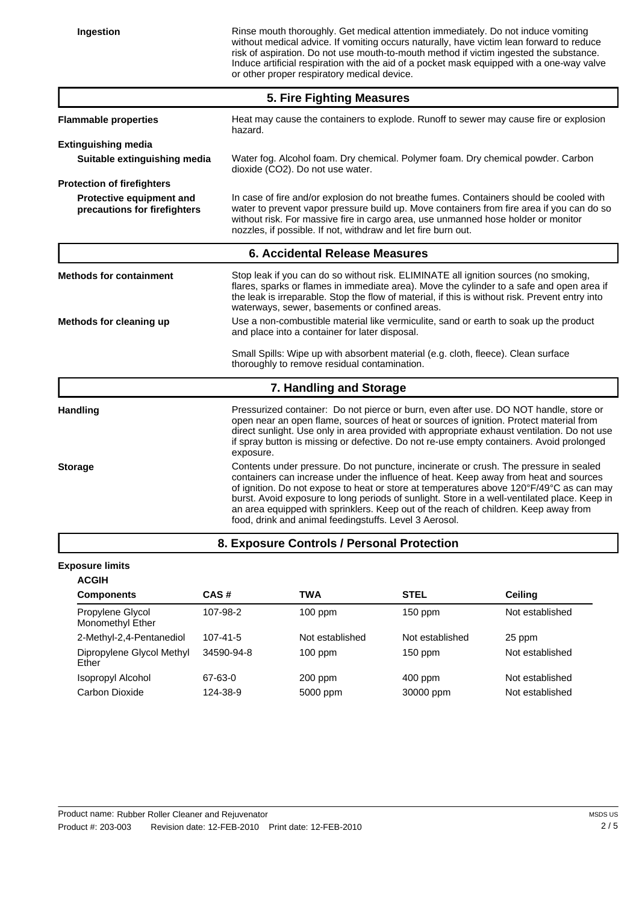**Ingestion** Rinse mouth thoroughly. Get medical attention immediately. Do not induce vomiting without medical advice. If vomiting occurs naturally, have victim lean forward to reduce risk of aspiration. Do not use mouth-to-mouth method if victim ingested the substance. Induce artificial respiration with the aid of a pocket mask equipped with a one-way valve or other proper respiratory medical device.

| 5. Fire Fighting Measures                                |                                                                                                                                                                                                                                                                                                                                                                                                                                                                                                                           |  |  |
|----------------------------------------------------------|---------------------------------------------------------------------------------------------------------------------------------------------------------------------------------------------------------------------------------------------------------------------------------------------------------------------------------------------------------------------------------------------------------------------------------------------------------------------------------------------------------------------------|--|--|
| <b>Flammable properties</b>                              | Heat may cause the containers to explode. Runoff to sewer may cause fire or explosion<br>hazard.                                                                                                                                                                                                                                                                                                                                                                                                                          |  |  |
| <b>Extinguishing media</b>                               |                                                                                                                                                                                                                                                                                                                                                                                                                                                                                                                           |  |  |
| Suitable extinguishing media                             | Water fog. Alcohol foam. Dry chemical. Polymer foam. Dry chemical powder. Carbon<br>dioxide (CO2). Do not use water.                                                                                                                                                                                                                                                                                                                                                                                                      |  |  |
| <b>Protection of firefighters</b>                        |                                                                                                                                                                                                                                                                                                                                                                                                                                                                                                                           |  |  |
| Protective equipment and<br>precautions for firefighters | In case of fire and/or explosion do not breathe fumes. Containers should be cooled with<br>water to prevent vapor pressure build up. Move containers from fire area if you can do so<br>without risk. For massive fire in cargo area, use unmanned hose holder or monitor<br>nozzles, if possible. If not, withdraw and let fire burn out.                                                                                                                                                                                |  |  |
| 6. Accidental Release Measures                           |                                                                                                                                                                                                                                                                                                                                                                                                                                                                                                                           |  |  |
| <b>Methods for containment</b>                           | Stop leak if you can do so without risk. ELIMINATE all ignition sources (no smoking,<br>flares, sparks or flames in immediate area). Move the cylinder to a safe and open area if<br>the leak is irreparable. Stop the flow of material, if this is without risk. Prevent entry into<br>waterways, sewer, basements or confined areas.                                                                                                                                                                                    |  |  |
| Methods for cleaning up                                  | Use a non-combustible material like vermiculite, sand or earth to soak up the product<br>and place into a container for later disposal.                                                                                                                                                                                                                                                                                                                                                                                   |  |  |
|                                                          | Small Spills: Wipe up with absorbent material (e.g. cloth, fleece). Clean surface<br>thoroughly to remove residual contamination.                                                                                                                                                                                                                                                                                                                                                                                         |  |  |
|                                                          | 7. Handling and Storage                                                                                                                                                                                                                                                                                                                                                                                                                                                                                                   |  |  |
| <b>Handling</b>                                          | Pressurized container: Do not pierce or burn, even after use. DO NOT handle, store or<br>open near an open flame, sources of heat or sources of ignition. Protect material from<br>direct sunlight. Use only in area provided with appropriate exhaust ventilation. Do not use<br>if spray button is missing or defective. Do not re-use empty containers. Avoid prolonged<br>exposure.                                                                                                                                   |  |  |
| <b>Storage</b>                                           | Contents under pressure. Do not puncture, incinerate or crush. The pressure in sealed<br>containers can increase under the influence of heat. Keep away from heat and sources<br>of ignition. Do not expose to heat or store at temperatures above 120°F/49°C as can may<br>burst. Avoid exposure to long periods of sunlight. Store in a well-ventilated place. Keep in<br>an area equipped with sprinklers. Keep out of the reach of children. Keep away from<br>food, drink and animal feedingstuffs. Level 3 Aerosol. |  |  |
|                                                          | 8. Exposure Controls / Personal Protection                                                                                                                                                                                                                                                                                                                                                                                                                                                                                |  |  |

#### **Exposure limits**

| <b>ACGIH</b>                         |                |                 |                 |                 |
|--------------------------------------|----------------|-----------------|-----------------|-----------------|
| <b>Components</b>                    | CAS#           | TWA             | <b>STEL</b>     | <b>Ceiling</b>  |
| Propylene Glycol<br>Monomethyl Ether | 107-98-2       | $100$ ppm       | $150$ ppm       | Not established |
| 2-Methyl-2,4-Pentanediol             | $107 - 41 - 5$ | Not established | Not established | 25 ppm          |
| Dipropylene Glycol Methyl<br>Ether   | 34590-94-8     | $100$ ppm       | $150$ ppm       | Not established |
| Isopropyl Alcohol                    | 67-63-0        | $200$ ppm       | $400$ ppm       | Not established |
| Carbon Dioxide                       | 124-38-9       | 5000 ppm        | 30000 ppm       | Not established |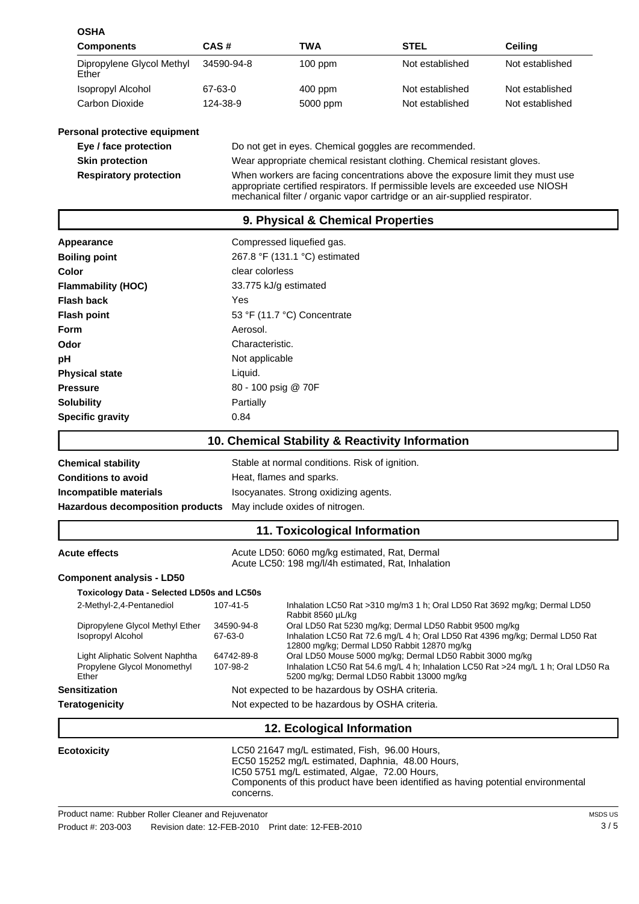| <b>OSHA</b>                                                             |                                                                  |                                                                                                                                                    |                                                                                                                                                                                                                                                |                                                                                   |  |
|-------------------------------------------------------------------------|------------------------------------------------------------------|----------------------------------------------------------------------------------------------------------------------------------------------------|------------------------------------------------------------------------------------------------------------------------------------------------------------------------------------------------------------------------------------------------|-----------------------------------------------------------------------------------|--|
| Components                                                              | CAS#                                                             | TWA                                                                                                                                                | STEL                                                                                                                                                                                                                                           | Ceiling                                                                           |  |
| Dipropylene Glycol Methyl<br>Ether                                      | 34590-94-8                                                       | 100 ppm                                                                                                                                            | Not established                                                                                                                                                                                                                                | Not established                                                                   |  |
| <b>Isopropyl Alcohol</b>                                                | 67-63-0                                                          | 400 ppm                                                                                                                                            | Not established                                                                                                                                                                                                                                | Not established                                                                   |  |
| Carbon Dioxide                                                          | 124-38-9                                                         | 5000 ppm                                                                                                                                           | Not established                                                                                                                                                                                                                                | Not established                                                                   |  |
| Personal protective equipment                                           |                                                                  |                                                                                                                                                    |                                                                                                                                                                                                                                                |                                                                                   |  |
| Eye / face protection                                                   |                                                                  |                                                                                                                                                    | Do not get in eyes. Chemical goggles are recommended.                                                                                                                                                                                          |                                                                                   |  |
| <b>Skin protection</b>                                                  |                                                                  |                                                                                                                                                    | Wear appropriate chemical resistant clothing. Chemical resistant gloves.                                                                                                                                                                       |                                                                                   |  |
| <b>Respiratory protection</b>                                           |                                                                  |                                                                                                                                                    | When workers are facing concentrations above the exposure limit they must use<br>appropriate certified respirators. If permissible levels are exceeded use NIOSH<br>mechanical filter / organic vapor cartridge or an air-supplied respirator. |                                                                                   |  |
|                                                                         |                                                                  | 9. Physical & Chemical Properties                                                                                                                  |                                                                                                                                                                                                                                                |                                                                                   |  |
| Appearance                                                              |                                                                  | Compressed liquefied gas.                                                                                                                          |                                                                                                                                                                                                                                                |                                                                                   |  |
| <b>Boiling point</b>                                                    |                                                                  | 267.8 °F (131.1 °C) estimated                                                                                                                      |                                                                                                                                                                                                                                                |                                                                                   |  |
| Color                                                                   | clear colorless                                                  |                                                                                                                                                    |                                                                                                                                                                                                                                                |                                                                                   |  |
| <b>Flammability (HOC)</b>                                               |                                                                  | 33.775 kJ/g estimated                                                                                                                              |                                                                                                                                                                                                                                                |                                                                                   |  |
| <b>Flash back</b>                                                       | Yes                                                              |                                                                                                                                                    |                                                                                                                                                                                                                                                |                                                                                   |  |
| <b>Flash point</b>                                                      |                                                                  | 53 °F (11.7 °C) Concentrate                                                                                                                        |                                                                                                                                                                                                                                                |                                                                                   |  |
| <b>Form</b>                                                             | Aerosol.                                                         |                                                                                                                                                    |                                                                                                                                                                                                                                                |                                                                                   |  |
| Odor                                                                    | Characteristic.                                                  |                                                                                                                                                    |                                                                                                                                                                                                                                                |                                                                                   |  |
| рH                                                                      | Not applicable                                                   |                                                                                                                                                    |                                                                                                                                                                                                                                                |                                                                                   |  |
| <b>Physical state</b>                                                   | Liquid.                                                          |                                                                                                                                                    |                                                                                                                                                                                                                                                |                                                                                   |  |
| <b>Pressure</b>                                                         |                                                                  |                                                                                                                                                    |                                                                                                                                                                                                                                                |                                                                                   |  |
| <b>Solubility</b>                                                       | Partially                                                        | 80 - 100 psig @ 70F                                                                                                                                |                                                                                                                                                                                                                                                |                                                                                   |  |
| <b>Specific gravity</b>                                                 | 0.84                                                             |                                                                                                                                                    |                                                                                                                                                                                                                                                |                                                                                   |  |
|                                                                         |                                                                  |                                                                                                                                                    |                                                                                                                                                                                                                                                |                                                                                   |  |
|                                                                         |                                                                  |                                                                                                                                                    | 10. Chemical Stability & Reactivity Information                                                                                                                                                                                                |                                                                                   |  |
| <b>Chemical stability</b>                                               |                                                                  | Stable at normal conditions. Risk of ignition.                                                                                                     |                                                                                                                                                                                                                                                |                                                                                   |  |
| <b>Conditions to avoid</b>                                              |                                                                  | Heat, flames and sparks.                                                                                                                           |                                                                                                                                                                                                                                                |                                                                                   |  |
| Incompatible materials                                                  |                                                                  | Isocyanates. Strong oxidizing agents.                                                                                                              |                                                                                                                                                                                                                                                |                                                                                   |  |
|                                                                         | Hazardous decomposition products May include oxides of nitrogen. |                                                                                                                                                    |                                                                                                                                                                                                                                                |                                                                                   |  |
|                                                                         |                                                                  | 11. Toxicological Information                                                                                                                      |                                                                                                                                                                                                                                                |                                                                                   |  |
| <b>Acute effects</b>                                                    |                                                                  | Acute LD50: 6060 mg/kg estimated, Rat, Dermal<br>Acute LC50: 198 mg/l/4h estimated, Rat, Inhalation                                                |                                                                                                                                                                                                                                                |                                                                                   |  |
| <b>Component analysis - LD50</b>                                        |                                                                  |                                                                                                                                                    |                                                                                                                                                                                                                                                |                                                                                   |  |
| Toxicology Data - Selected LD50s and LC50s                              |                                                                  |                                                                                                                                                    |                                                                                                                                                                                                                                                |                                                                                   |  |
| 2-Methyl-2,4-Pentanediol                                                | 107-41-5                                                         |                                                                                                                                                    | Inhalation LC50 Rat >310 mg/m3 1 h; Oral LD50 Rat 3692 mg/kg; Dermal LD50                                                                                                                                                                      |                                                                                   |  |
| Dipropylene Glycol Methyl Ether<br><b>Isopropyl Alcohol</b>             | 34590-94-8<br>67-63-0                                            | Rabbit 8560 µL/kg                                                                                                                                  | Oral LD50 Rat 5230 mg/kg; Dermal LD50 Rabbit 9500 mg/kg<br>Inhalation LC50 Rat 72.6 mg/L 4 h; Oral LD50 Rat 4396 mg/kg; Dermal LD50 Rat                                                                                                        |                                                                                   |  |
| Light Aliphatic Solvent Naphtha<br>Propylene Glycol Monomethyl<br>Ether | 64742-89-8<br>107-98-2                                           |                                                                                                                                                    | 12800 mg/kg; Dermal LD50 Rabbit 12870 mg/kg<br>Oral LD50 Mouse 5000 mg/kg; Dermal LD50 Rabbit 3000 mg/kg<br>5200 mg/kg; Dermal LD50 Rabbit 13000 mg/kg                                                                                         | Inhalation LC50 Rat 54.6 mg/L 4 h; Inhalation LC50 Rat >24 mg/L 1 h; Oral LD50 Ra |  |
| <b>Sensitization</b>                                                    |                                                                  | Not expected to be hazardous by OSHA criteria.                                                                                                     |                                                                                                                                                                                                                                                |                                                                                   |  |
| <b>Teratogenicity</b>                                                   |                                                                  | Not expected to be hazardous by OSHA criteria.                                                                                                     |                                                                                                                                                                                                                                                |                                                                                   |  |
|                                                                         |                                                                  | 12. Ecological Information                                                                                                                         |                                                                                                                                                                                                                                                |                                                                                   |  |
| <b>Ecotoxicity</b>                                                      | concerns.                                                        | LC50 21647 mg/L estimated, Fish, 96.00 Hours,<br>EC50 15252 mg/L estimated, Daphnia, 48.00 Hours,<br>IC50 5751 mg/L estimated, Algae, 72.00 Hours, | Components of this product have been identified as having potential environmental                                                                                                                                                              |                                                                                   |  |

Product name: Rubber Roller Cleaner Rubber Roller Cleaner and Rejuvenator

Product #: 203-003 Revision date: 12-FEB-2010 Print date: 12-FEB-2010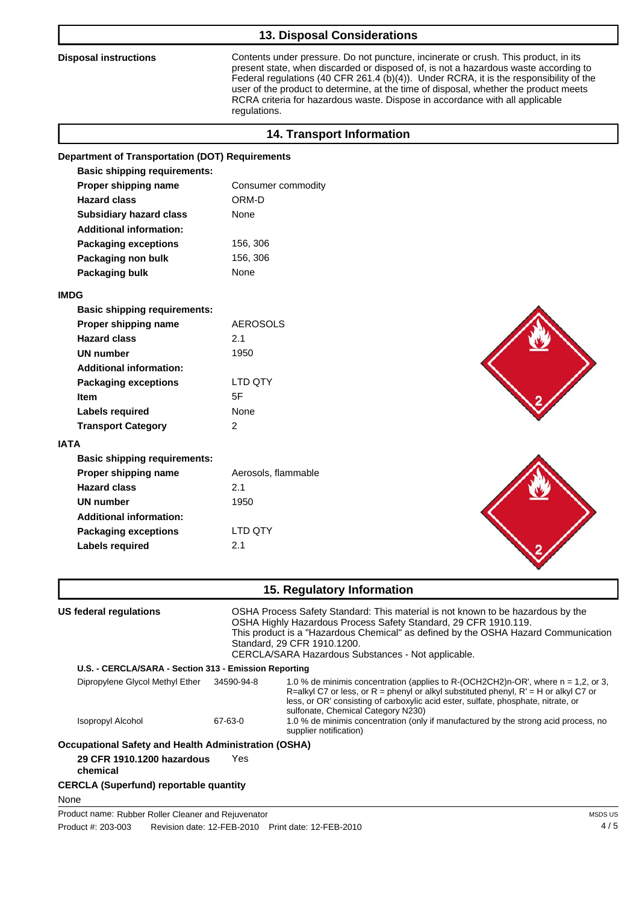# **13. Disposal Considerations**

**Disposal instructions** Contents under pressure. Do not puncture, incinerate or crush. This product, in its present state, when discarded or disposed of, is not a hazardous waste according to Federal regulations (40 CFR 261.4 (b)(4)). Under RCRA, it is the responsibility of the user of the product to determine, at the time of disposal, whether the product meets RCRA criteria for hazardous waste. Dispose in accordance with all applicable regulations.

| <b>14. Transport Information</b>                       |                                                                                                                                                                                   |                                                                                    |
|--------------------------------------------------------|-----------------------------------------------------------------------------------------------------------------------------------------------------------------------------------|------------------------------------------------------------------------------------|
| <b>Department of Transportation (DOT) Requirements</b> |                                                                                                                                                                                   |                                                                                    |
| <b>Basic shipping requirements:</b>                    |                                                                                                                                                                                   |                                                                                    |
| Proper shipping name                                   | Consumer commodity                                                                                                                                                                |                                                                                    |
| <b>Hazard class</b>                                    | ORM-D                                                                                                                                                                             |                                                                                    |
| <b>Subsidiary hazard class</b>                         | None                                                                                                                                                                              |                                                                                    |
| <b>Additional information:</b>                         |                                                                                                                                                                                   |                                                                                    |
| <b>Packaging exceptions</b>                            | 156, 306                                                                                                                                                                          |                                                                                    |
| Packaging non bulk                                     | 156, 306                                                                                                                                                                          |                                                                                    |
| Packaging bulk                                         | None                                                                                                                                                                              |                                                                                    |
| <b>IMDG</b>                                            |                                                                                                                                                                                   |                                                                                    |
| <b>Basic shipping requirements:</b>                    |                                                                                                                                                                                   |                                                                                    |
| Proper shipping name                                   | <b>AEROSOLS</b>                                                                                                                                                                   |                                                                                    |
| <b>Hazard class</b>                                    | 2.1                                                                                                                                                                               |                                                                                    |
| <b>UN number</b>                                       | 1950                                                                                                                                                                              |                                                                                    |
| <b>Additional information:</b>                         |                                                                                                                                                                                   |                                                                                    |
| <b>Packaging exceptions</b>                            | LTD QTY                                                                                                                                                                           |                                                                                    |
| <b>Item</b>                                            | 5F                                                                                                                                                                                |                                                                                    |
| <b>Labels required</b>                                 | None                                                                                                                                                                              |                                                                                    |
| <b>Transport Category</b>                              | $\overline{2}$                                                                                                                                                                    |                                                                                    |
| <b>IATA</b>                                            |                                                                                                                                                                                   |                                                                                    |
| <b>Basic shipping requirements:</b>                    |                                                                                                                                                                                   |                                                                                    |
| Proper shipping name                                   | Aerosols, flammable                                                                                                                                                               |                                                                                    |
| <b>Hazard class</b>                                    | 2.1                                                                                                                                                                               |                                                                                    |
| <b>UN number</b>                                       | 1950                                                                                                                                                                              |                                                                                    |
| <b>Additional information:</b>                         |                                                                                                                                                                                   |                                                                                    |
| <b>Packaging exceptions</b>                            | <b>LTD QTY</b>                                                                                                                                                                    |                                                                                    |
| <b>Labels required</b>                                 | 2.1                                                                                                                                                                               |                                                                                    |
|                                                        | 15. Regulatory Information                                                                                                                                                        |                                                                                    |
| <b>US federal regulations</b>                          | OSHA Process Safety Standard: This material is not known to be hazardous by the<br>OSHA Highly Hazardous Process Safety Standard, 29 CFR 1910.119.<br>Standard, 29 CFR 1910.1200. | This product is a "Hazardous Chemical" as defined by the OSHA Hazard Communication |

CERCLA/SARA Hazardous Substances - Not applicable.

#### **U.S. - CERCLA/SARA - Section 313 - Emission Reporting**

| Dipropylene Glycol Methyl Ether                     | 34590-94-8 | 1.0 % de minimis concentration (applies to R-(OCH2CH2)n-OR', where n = 1.2, or 3,<br>R=alkyl C7 or less, or R = phenyl or alkyl substituted phenyl, $R' = H$ or alkyl C7 or<br>less, or OR' consisting of carboxylic acid ester, sulfate, phosphate, nitrate, or<br>sulfonate, Chemical Category N230) |
|-----------------------------------------------------|------------|--------------------------------------------------------------------------------------------------------------------------------------------------------------------------------------------------------------------------------------------------------------------------------------------------------|
| Isopropyl Alcohol                                   | 67-63-0    | 1.0 % de minimis concentration (only if manufactured by the strong acid process, no<br>supplier notification)                                                                                                                                                                                          |
| counctional Safoty and Hoalth Administration (OSHA) |            |                                                                                                                                                                                                                                                                                                        |

**Occupational Safety and Health Administration (OSHA)**

**29 CFR 1910.1200 hazardous** Yes

**chemical**

## **CERCLA (Superfund) reportable quantity**

None

Product name: Rubber Roller Cleaner Rubber Roller Cleaner and Rejuvenator

Product #: 203-003 Revision date: 12-FEB-2010 Print date: 12-FEB-2010